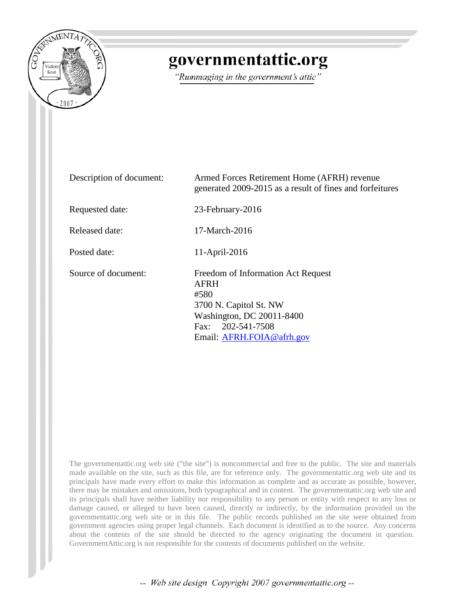

## governmentattic.org

"Rummaging in the government's attic"

| Description of document: | Armed Forces Retirement Home (AFRH) revenue<br>generated 2009-2015 as a result of fines and forfeitures                                                            |
|--------------------------|--------------------------------------------------------------------------------------------------------------------------------------------------------------------|
| Requested date:          | 23-February-2016                                                                                                                                                   |
| Released date:           | 17-March-2016                                                                                                                                                      |
| Posted date:             | 11-April-2016                                                                                                                                                      |
| Source of document:      | Freedom of Information Act Request<br><b>AFRH</b><br>#580<br>3700 N. Capitol St. NW<br>Washington, DC 20011-8400<br>Fax: 202-541-7508<br>Email: AFRH.FOIA@afrh.gov |

The governmentattic.org web site ("the site") is noncommercial and free to the public. The site and materials made available on the site, such as this file, are for reference only. The governmentattic.org web site and its principals have made every effort to make this information as complete and as accurate as possible, however, there may be mistakes and omissions, both typographical and in content. The governmentattic.org web site and its principals shall have neither liability nor responsibility to any person or entity with respect to any loss or damage caused, or alleged to have been caused, directly or indirectly, by the information provided on the governmentattic.org web site or in this file. The public records published on the site were obtained from government agencies using proper legal channels. Each document is identified as to the source. Any concerns about the contents of the site should be directed to the agency originating the document in question. GovernmentAttic.org is not responsible for the contents of documents published on the website.

-- Web site design Copyright 2007 governmentattic.org --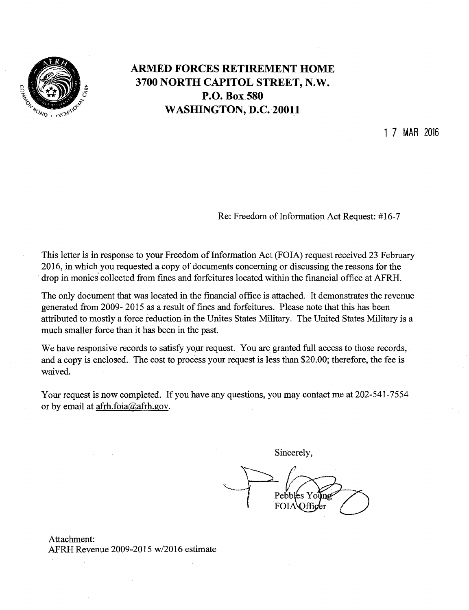

## **ARMED FORCES RETIREMENT HOME 3700 NORTH CAPITOL STREET,** N.W. **P.O. Box.580 WASHINGTON,** D.C~ **20011**

1 7 MAR 2016

Re: Freedom of Information Act Request: #16-7

This letter is in response to your Freedom of Information Act (FOIA) request received 23 February 2016, in which you requested a copy of documents concerning or discussing the reasons for the drop in monies' collected from fines and forfeitures located within the financial office at AFRH.

The only document that was located in the financial office is attached. It demonstrates the revenue generated from 2009- 2015 as a result of fines and forfeitures. Please note that this has been attributed to mostly a force reduction in the Unites States Military. The United States Military is a much smaller force than it has been in the past.

We have responsive records to satisfy your request. You are granted full access to those records, and a copy is enclosed. The cost to process your request is less than \$20.00; therefore, the fee is waived.

Your request is now completed. If you have any questions, you may contact me at 202-541-7554 or by email at afrh.foia@afrh.gov.

Sincerely,

 $\sum$   $\ell$  $\longrightarrow$  Pebbles Young  $\left( \begin{array}{c} 1 \end{array} \right)$  FOIA Qffiger

Attachment: AFRH Revenue 2009-2015 w/2016 estimate